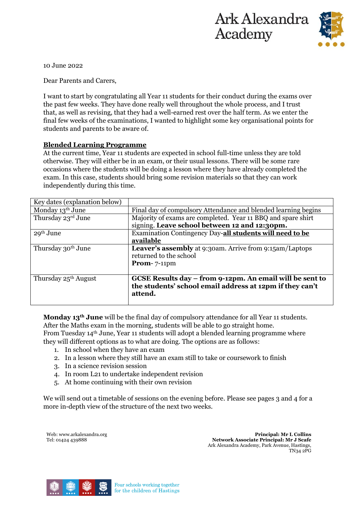



10 June 2022

Dear Parents and Carers,

I want to start by congratulating all Year 11 students for their conduct during the exams over the past few weeks. They have done really well throughout the whole process, and I trust that, as well as revising, that they had a well-earned rest over the half term. As we enter the final few weeks of the examinations, I wanted to highlight some key organisational points for students and parents to be aware of.

#### **Blended Learning Programme**

At the current time, Year 11 students are expected in school full-time unless they are told otherwise. They will either be in an exam, or their usual lessons. There will be some rare occasions where the students will be doing a lesson where they have already completed the exam. In this case, students should bring some revision materials so that they can work independently during this time.

| Key dates (explanation below)    |                                                                |  |  |  |
|----------------------------------|----------------------------------------------------------------|--|--|--|
| Monday 13th June                 | Final day of compulsory Attendance and blended learning begins |  |  |  |
| Thursday 23rd June               | Majority of exams are completed. Year 11 BBQ and spare shirt   |  |  |  |
|                                  | signing. Leave school between 12 and 12:30pm.                  |  |  |  |
| $29th$ June                      | Examination Contingency Day-all students will need to be       |  |  |  |
|                                  | available                                                      |  |  |  |
| Thursday 30 <sup>th</sup> June   | Leaver's assembly at 9:30am. Arrive from 9:15am/Laptops        |  |  |  |
|                                  | returned to the school                                         |  |  |  |
|                                  | Prom- $7-11$ pm                                                |  |  |  |
|                                  |                                                                |  |  |  |
| Thursday 25 <sup>th</sup> August | GCSE Results day – from 9-12pm. An email will be sent to       |  |  |  |
|                                  | the students' school email address at 12pm if they can't       |  |  |  |
|                                  | attend.                                                        |  |  |  |
|                                  |                                                                |  |  |  |

**Monday 13th June** will be the final day of compulsory attendance for all Year 11 students. After the Maths exam in the morning, students will be able to go straight home. From Tuesday 14th June, Year 11 students will adopt a blended learning programme where

they will different options as to what are doing. The options are as follows:

- 1. In school when they have an exam
- 2. In a lesson where they still have an exam still to take or coursework to finish
- 3. In a science revision session
- 4. In room L21 to undertake independent revision
- 5. At home continuing with their own revision

We will send out a timetable of sessions on the evening before. Please see pages 3 and 4 for a more in-depth view of the structure of the next two weeks.

Web: www.arkalexandra.org Tel: 01424 439888

**Principal: Mr L Collins Network Associate Principal: Mr J Scafe**  Ark Alexandra Academy, Park Avenue, Hastings, TN34 2PG



Four schools working together for the children of Hastings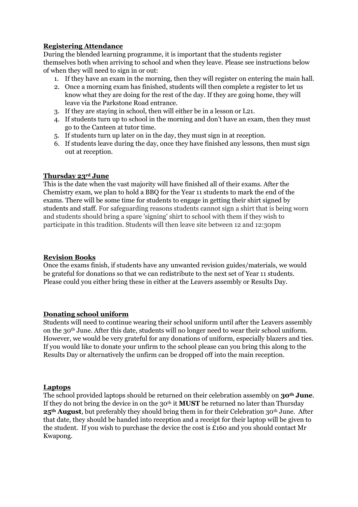#### **Registering Attendance**

During the blended learning programme, it is important that the students register themselves both when arriving to school and when they leave. Please see instructions below of when they will need to sign in or out:

- 1. If they have an exam in the morning, then they will register on entering the main hall.
- 2. Once a morning exam has finished, students will then complete a register to let us know what they are doing for the rest of the day. If they are going home, they will leave via the Parkstone Road entrance.
- 3. If they are staying in school, then will either be in a lesson or L21.
- 4. If students turn up to school in the morning and don't have an exam, then they must go to the Canteen at tutor time.
- 5. If students turn up later on in the day, they must sign in at reception.
- 6. If students leave during the day, once they have finished any lessons, then must sign out at reception.

#### **Thursday 23rd June**

This is the date when the vast majority will have finished all of their exams. After the Chemistry exam, we plan to hold a BBQ for the Year 11 students to mark the end of the exams. There will be some time for students to engage in getting their shirt signed by students and staff. For safeguarding reasons students cannot sign a shirt that is being worn and students should bring a spare 'signing' shirt to school with them if they wish to participate in this tradition. Students will then leave site between 12 and 12:30pm

#### **Revision Books**

Once the exams finish, if students have any unwanted revision guides/materials, we would be grateful for donations so that we can redistribute to the next set of Year 11 students. Please could you either bring these in either at the Leavers assembly or Results Day.

#### **Donating school uniform**

Students will need to continue wearing their school uniform until after the Leavers assembly on the 30th June. After this date, students will no longer need to wear their school uniform. However, we would be very grateful for any donations of uniform, especially blazers and ties. If you would like to donate your unfirm to the school please can you bring this along to the Results Day or alternatively the unfirm can be dropped off into the main reception.

#### **Laptops**

The school provided laptops should be returned on their celebration assembly on **30th June**. If they do not bring the device in on the 30th it **MUST** be returned no later than Thursday **25th August**, but preferably they should bring them in for their Celebration 30th June. After that date, they should be handed into reception and a receipt for their laptop will be given to the student. If you wish to purchase the device the cost is £160 and you should contact Mr Kwapong.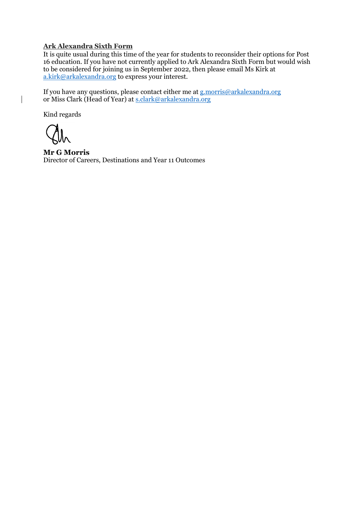#### **Ark Alexandra Sixth Form**

It is quite usual during this time of the year for students to reconsider their options for Post 16 education. If you have not currently applied to Ark Alexandra Sixth Form but would wish to be considered for joining us in September 2022, then please email Ms Kirk at [a.kirk@arkalexandra.org](mailto:a.kirk@arkalexandra.org) to express your interest.

If you have any questions, please contact either me at [g.morris@arkalexandra.org](mailto:g.morris@arkalexandra.org) or Miss Clark (Head of Year) at [s.clark@arkalexandra.org](mailto:s.clark@arkalexandra.org)

Kind regards

**Mr G Morris** Director of Careers, Destinations and Year 11 Outcomes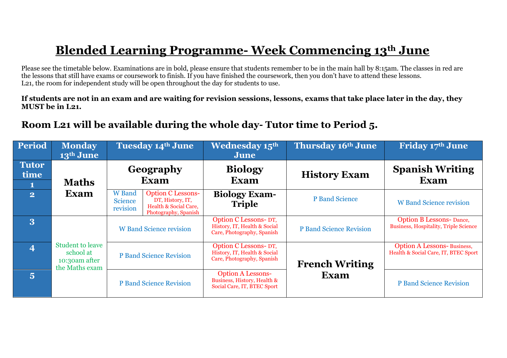## **Blended Learning Programme- Week Commencing 13th June**

Please see the timetable below. Examinations are in bold, please ensure that students remember to be in the main hall by 8:15am. The classes in red are the lessons that still have exams or coursework to finish. If you have finished the coursework, then you don't have to attend these lessons. L<sub>21</sub>, the room for independent study will be open throughout the day for students to use.

**If students are not in an exam and are waiting for revision sessions, lessons, exams that take place later in the day, they MUST be in L21.**

### **Room L21 will be available during the whole day- Tutor time to Period 5.**

| <b>Period</b>        | <b>Monday</b><br>13 <sup>th</sup> June                                  | <b>Tuesday 14th June</b>                                                                                                              | <b>Wednesday 15th</b><br>June                                                          | Thursday 16th June             | Friday 17th June                                                                |
|----------------------|-------------------------------------------------------------------------|---------------------------------------------------------------------------------------------------------------------------------------|----------------------------------------------------------------------------------------|--------------------------------|---------------------------------------------------------------------------------|
| <b>Tutor</b><br>time |                                                                         | Geography<br>Exam                                                                                                                     | <b>Biology</b><br><b>Exam</b>                                                          | <b>History Exam</b>            | <b>Spanish Writing</b><br><b>Exam</b>                                           |
|                      | <b>Maths</b>                                                            |                                                                                                                                       |                                                                                        |                                |                                                                                 |
| $\overline{2}$       | <b>Exam</b>                                                             | Option C Lessons-<br><b>W</b> Band<br>DT, History, IT,<br><b>Science</b><br>Health & Social Care,<br>revision<br>Photography, Spanish | <b>Biology Exam-</b><br><b>Triple</b>                                                  | <b>P</b> Band Science          | <b>W</b> Band Science revision                                                  |
| 3                    |                                                                         | <b>W</b> Band Science revision                                                                                                        | Option C Lessons- DT,<br>History, IT, Health & Social<br>Care, Photography, Spanish    | <b>P Band Science Revision</b> | <b>Option B Lessons- Dance,</b><br><b>Business, Hospitality, Triple Science</b> |
| $\overline{4}$       | <b>Student to leave</b><br>school at<br>10:30am after<br>the Maths exam | <b>P Band Science Revision</b>                                                                                                        | Option C Lessons-DT,<br>History, IT, Health & Social<br>Care, Photography, Spanish     | <b>French Writing</b>          | <b>Option A Lessons-Business,</b><br>Health & Social Care, IT, BTEC Sport       |
| $\overline{5}$       |                                                                         | <b>P Band Science Revision</b>                                                                                                        | <b>Option A Lessons-</b><br>Business, History, Health &<br>Social Care, IT, BTEC Sport | Exam                           | <b>P Band Science Revision</b>                                                  |